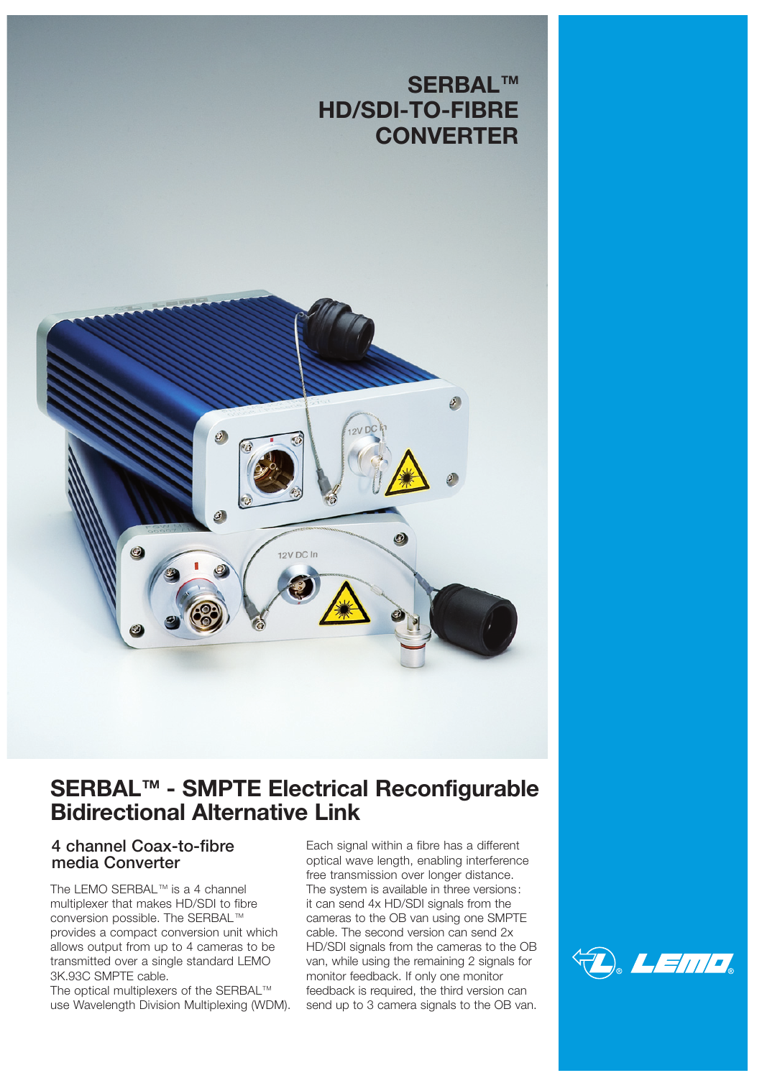# **SERBALTM HD/SDI-TO-FIBRE CONVERTER**



# **SERBALTM - SMPTE Electrical Reconfigurable Bidirectional Alternative Link**

## **4 channel Coax-to-fibre media Converter**

The LEMO SERBAL<sup>™</sup> is a 4 channel multiplexer that makes HD/SDI to fibre conversion possible. The SERBAL™ provides a compact conversion unit which allows output from up to 4 cameras to be transmitted over a single standard LEMO 3K.93C SMPTE cable.

The optical multiplexers of the SERBAL™ use Wavelength Division Multiplexing (WDM). Each signal within a fibre has a different optical wave length, enabling interference free transmission over longer distance. The system is available in three versions: it can send 4x HD/SDI signals from the cameras to the OB van using one SMPTE cable. The second version can send 2x HD/SDI signals from the cameras to the OB van, while using the remaining 2 signals for monitor feedback. If only one monitor feedback is required, the third version can send up to 3 camera signals to the OB van.